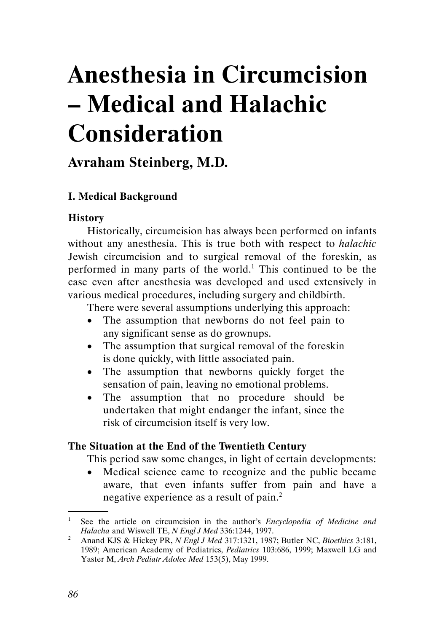# Anesthesia in Circumcision – Medical and Halachic Consideration

# Avraham Steinberg, M.D.

# I. Medical Background

#### **History**

Historically, circumcision has always been performed on infants without any anesthesia. This is true both with respect to halachic Jewish circumcision and to surgical removal of the foreskin, as performed in many parts of the world.<sup>1</sup> This continued to be the case even after anesthesia was developed and used extensively in various medical procedures, including surgery and childbirth.

There were several assumptions underlying this approach:

- The assumption that newborns do not feel pain to any significant sense as do grownups.
- The assumption that surgical removal of the foreskin is done quickly, with little associated pain.
- The assumption that newborns quickly forget the sensation of pain, leaving no emotional problems.
- The assumption that no procedure should be undertaken that might endanger the infant, since the risk of circumcision itself is very low.

## The Situation at the End of the Twentieth Century

This period saw some changes, in light of certain developments:

• Medical science came to recognize and the public became aware, that even infants suffer from pain and have a negative experience as a result of pain.<sup>2</sup> .

<sup>&</sup>lt;sup>1</sup> See the article on circumcision in the author's *Encyclopedia of Medicine and* 

Halacha and Wiswell TE, N Engl J Med 336:1244, 1997.<br><sup>2</sup> Anand KJS & Hickey PR, N Engl J Med 317:1321, 1987; Butler NC, Bioethics 3:181, 1989; American Academy of Pediatrics, *Pediatrics* 103:686, 1999; Maxwell LG and Yaster M, Arch Pediatr Adolec Med 153(5), May 1999.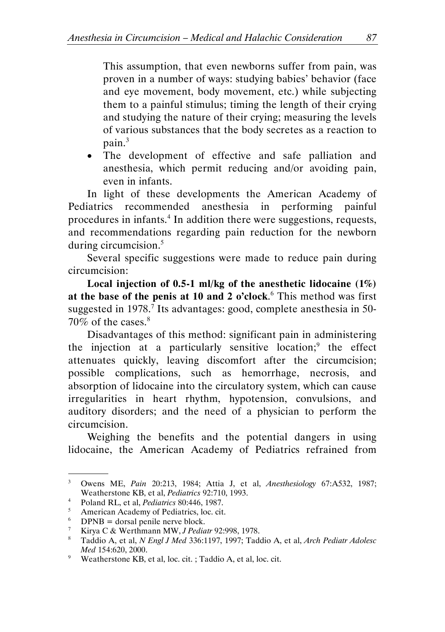This assumption, that even newborns suffer from pain, was proven in a number of ways: studying babies' behavior (face and eye movement, body movement, etc.) while subjecting them to a painful stimulus; timing the length of their crying and studying the nature of their crying; measuring the levels of various substances that the body secretes as a reaction to pain.<sup>3</sup>

• The development of effective and safe palliation and anesthesia, which permit reducing and/or avoiding pain, even in infants.

In light of these developments the American Academy of Pediatrics recommended anesthesia in performing painful procedures in infants.<sup>4</sup> In addition there were suggestions, requests, and recommendations regarding pain reduction for the newborn during circumcision.<sup>5</sup>

Several specific suggestions were made to reduce pain during circumcision:

Local injection of 0.5-1 ml/kg of the anesthetic lidocaine (1%) at the base of the penis at 10 and 2 o'clock.<sup>6</sup> This method was first suggested in 1978.<sup>7</sup> Its advantages: good, complete anesthesia in 50-70% of the cases. $8<sup>8</sup>$ 

Disadvantages of this method: significant pain in administering the injection at a particularly sensitive location;<sup>9</sup> the effect attenuates quickly, leaving discomfort after the circumcision; possible complications, such as hemorrhage, necrosis, and absorption of lidocaine into the circulatory system, which can cause irregularities in heart rhythm, hypotension, convulsions, and auditory disorders; and the need of a physician to perform the circumcision.

Weighing the benefits and the potential dangers in using lidocaine, the American Academy of Pediatrics refrained from

<sup>&</sup>lt;sup>3</sup> Owens ME, Pain 20:213, 1984; Attia J, et al, Anesthesiology 67:A532, 1987; Weatherstone KB, et al, Pediatrics 92:710, 1993.

<sup>&</sup>lt;sup>4</sup> Poland RL, et al, *Pediatrics* 80:446, 1987.

<sup>5</sup> American Academy of Pediatrics, loc. cit.

 $^{6}$  DPNB = dorsal penile nerve block.

<sup>7</sup> Kirya C & Werthmann MW, J Pediatr 92:998, 1978.

<sup>&</sup>lt;sup>8</sup> Taddio A, et al, *N Engl J Med* 336:1197, 1997; Taddio A, et al, *Arch Pediatr Adolesc* Med 154:620, 2000.

<sup>&</sup>lt;sup>9</sup> Weatherstone KB, et al, loc. cit. ; Taddio A, et al, loc. cit.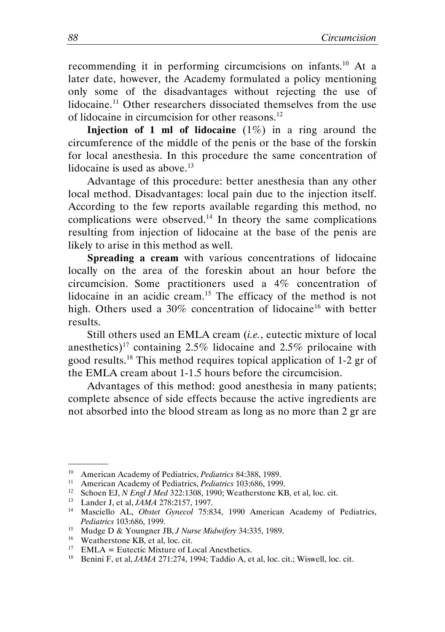recommending it in performing circumcisions on infants.<sup>10</sup> At a later date, however, the Academy formulated a policy mentioning only some of the disadvantages without rejecting the use of lidocaine.<sup>11</sup> Other researchers dissociated themselves from the use of lidocaine in circumcision for other reasons.<sup>12</sup>

**Injection of 1 ml of lidocaine**  $(1\%)$  in a ring around the circumference of the middle of the penis or the base of the forskin for local anesthesia. In this procedure the same concentration of lidocaine is used as above. $^{13}$ 

Advantage of this procedure: better anesthesia than any other local method. Disadvantages: local pain due to the injection itself. According to the few reports available regarding this method, no complications were observed.<sup>14</sup> In theory the same complications resulting from injection of lidocaine at the base of the penis are likely to arise in this method as well.

Spreading a cream with various concentrations of lidocaine locally on the area of the foreskin about an hour before the circumcision. Some practitioners used a 4% concentration of lidocaine in an acidic cream.<sup>15</sup> The efficacy of the method is not high. Others used a 30% concentration of lidocaine<sup>16</sup> with better results.

Still others used an EMLA cream *(i.e.*, eutectic mixture of local anesthetics)<sup>17</sup> containing 2.5% lidocaine and 2.5% prilocaine with good results.<sup>18</sup> This method requires topical application of 1-2 gr of the EMLA cream about 1-1.5 hours before the circumcision.

Advantages of this method: good anesthesia in many patients; complete absence of side effects because the active ingredients are not absorbed into the blood stream as long as no more than 2 gr are

<sup>&</sup>lt;sup>10</sup> American Academy of Pediatrics, *Pediatrics* 84:388, 1989.

<sup>&</sup>lt;sup>11</sup> American Academy of Pediatrics, *Pediatrics* 103:686, 1999.<br><sup>12</sup> Schoen EL *N Engl I Med* 322:1308, 1990; Weatherstone KI

<sup>&</sup>lt;sup>12</sup> Schoen EJ, *N Engl J Med* 322:1308, 1990; Weatherstone KB, et al, loc. cit.<br><sup>13</sup> Lander J et al *JAMA* 278:2157 1997

<sup>&</sup>lt;sup>13</sup> Lander J, et al,  $JAMA$  278:2157, 1997.<br><sup>14</sup> Masciello AL *Obstet Gynecol* 75:8.

Masciello AL, Obstet Gynecol 75:834, 1990 American Academy of Pediatrics, Pediatrics 103:686, 1999.

<sup>&</sup>lt;sup>15</sup> Mudge D & Youngner JB, *J Nurse Midwifery* 34:335, 1989.

<sup>&</sup>lt;sup>16</sup> Weatherstone KB, et al, loc. cit.

 $17$  EMLA = Eutectic Mixture of Local Anesthetics.

<sup>&</sup>lt;sup>18</sup> Benini F, et al, *JAMA* 271:274, 1994; Taddio A, et al, loc. cit.; Wiswell, loc. cit.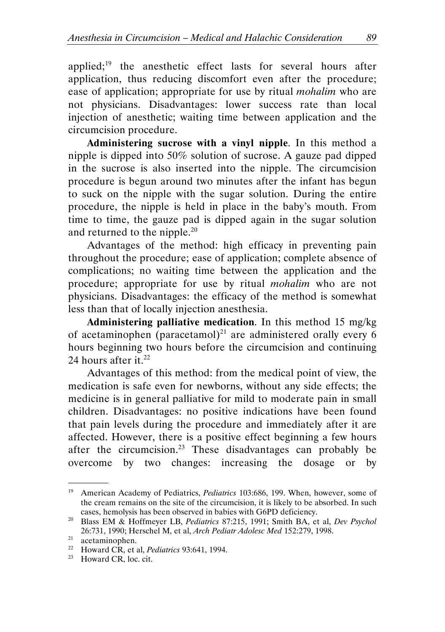applied; $19$  the anesthetic effect lasts for several hours after application, thus reducing discomfort even after the procedure; ease of application; appropriate for use by ritual mohalim who are not physicians. Disadvantages: lower success rate than local injection of anesthetic; waiting time between application and the circumcision procedure.

Administering sucrose with a vinyl nipple. In this method a nipple is dipped into 50% solution of sucrose. A gauze pad dipped in the sucrose is also inserted into the nipple. The circumcision procedure is begun around two minutes after the infant has begun to suck on the nipple with the sugar solution. During the entire procedure, the nipple is held in place in the baby's mouth. From time to time, the gauze pad is dipped again in the sugar solution and returned to the nipple. $20$ 

Advantages of the method: high efficacy in preventing pain throughout the procedure; ease of application; complete absence of complications; no waiting time between the application and the procedure; appropriate for use by ritual mohalim who are not physicians. Disadvantages: the efficacy of the method is somewhat less than that of locally injection anesthesia.

Administering palliative medication. In this method 15 mg/kg of acetaminophen (paracetamol)<sup>21</sup> are administered orally every 6 hours beginning two hours before the circumcision and continuing 24 hours after it. $^{22}$ 

Advantages of this method: from the medical point of view, the medication is safe even for newborns, without any side effects; the medicine is in general palliative for mild to moderate pain in small children. Disadvantages: no positive indications have been found that pain levels during the procedure and immediately after it are affected. However, there is a positive effect beginning a few hours after the circumcision.<sup>23</sup> These disadvantages can probably be overcome by two changes: increasing the dosage or by

<sup>&</sup>lt;sup>19</sup> American Academy of Pediatrics, *Pediatrics* 103:686, 199. When, however, some of the cream remains on the site of the circumcision, it is likely to be absorbed. In such cases, hemolysis has been observed in babies with G6PD deficiency.

<sup>&</sup>lt;sup>20</sup> Blass EM & Hoffmeyer LB, Pediatrics 87:215, 1991; Smith BA, et al, Dev Psychol 26:731, 1990; Herschel M, et al, Arch Pediatr Adolesc Med 152:279, 1998.

 $20.751, 1220, 110$ <br>acetaminophen.

<sup>&</sup>lt;sup>22</sup> Howard CR, et al, *Pediatrics* 93:641, 1994.

<sup>&</sup>lt;sup>23</sup> Howard CR, loc. cit.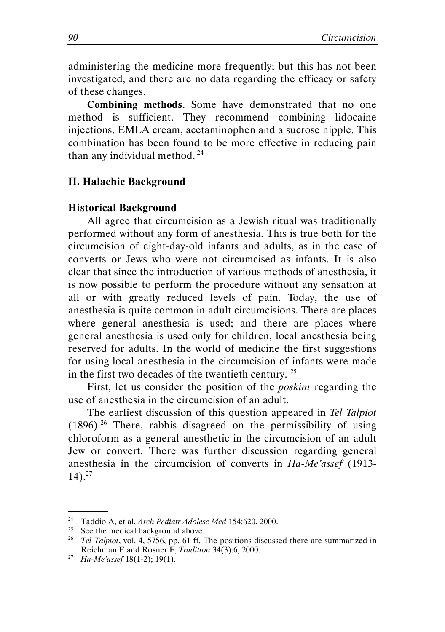administering the medicine more frequently; but this has not been investigated, and there are no data regarding the efficacy or safety of these changes.

Combining methods. Some have demonstrated that no one method is sufficient. They recommend combining lidocaine injections, EMLA cream, acetaminophen and a sucrose nipple. This combination has been found to be more effective in reducing pain than any individual method. $24$ 

#### II. Halachic Background

#### Historical Background

All agree that circumcision as a Jewish ritual was traditionally performed without any form of anesthesia. This is true both for the circumcision of eight-day-old infants and adults, as in the case of converts or Jews who were not circumcised as infants. It is also clear that since the introduction of various methods of anesthesia, it is now possible to perform the procedure without any sensation at all or with greatly reduced levels of pain. Today, the use of anesthesia is quite common in adult circumcisions. There are places where general anesthesia is used; and there are places where general anesthesia is used only for children, local anesthesia being reserved for adults. In the world of medicine the first suggestions for using local anesthesia in the circumcision of infants were made in the first two decades of the twentieth century.  $25$ 

First, let us consider the position of the poskim regarding the use of anesthesia in the circumcision of an adult.

The earliest discussion of this question appeared in Tel Talpiot  $(1896)^{26}$  There, rabbis disagreed on the permissibility of using chloroform as a general anesthetic in the circumcision of an adult Jew or convert. There was further discussion regarding general anesthesia in the circumcision of converts in Ha-Me'assef (1913- 14).<sup>27</sup>

<sup>&</sup>lt;sup>24</sup> Taddio A, et al, Arch Pediatr Adolesc Med 154:620, 2000.

 $25$  See the medical background above.

<sup>&</sup>lt;sup>26</sup> Tel Talpiot, vol. 4, 5756, pp. 61 ff. The positions discussed there are summarized in Reichman E and Rosner F, Tradition 34(3):6, 2000.

<sup>&</sup>lt;sup>27</sup> Ha-Me'assef 18(1-2); 19(1).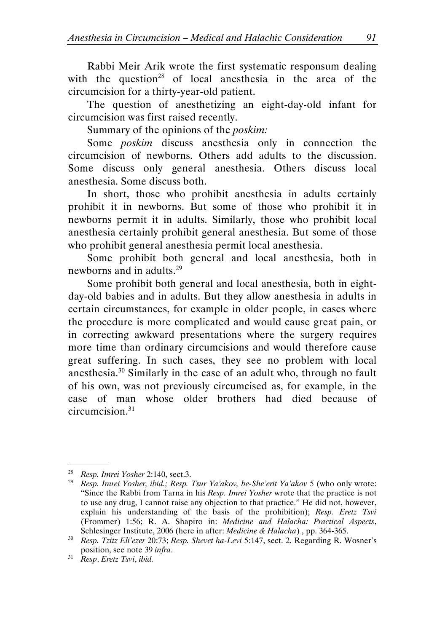Rabbi Meir Arik wrote the first systematic responsum dealing with the question<sup>28</sup> of local anesthesia in the area of the circumcision for a thirty-year-old patient.

The question of anesthetizing an eight-day-old infant for circumcision was first raised recently.

Summary of the opinions of the poskim:

Some poskim discuss anesthesia only in connection the circumcision of newborns. Others add adults to the discussion. Some discuss only general anesthesia. Others discuss local anesthesia. Some discuss both.

In short, those who prohibit anesthesia in adults certainly prohibit it in newborns. But some of those who prohibit it in newborns permit it in adults. Similarly, those who prohibit local anesthesia certainly prohibit general anesthesia. But some of those who prohibit general anesthesia permit local anesthesia.

Some prohibit both general and local anesthesia, both in newborns and in adults.<sup>29</sup>

Some prohibit both general and local anesthesia, both in eightday-old babies and in adults. But they allow anesthesia in adults in certain circumstances, for example in older people, in cases where the procedure is more complicated and would cause great pain, or in correcting awkward presentations where the surgery requires more time than ordinary circumcisions and would therefore cause great suffering. In such cases, they see no problem with local anesthesia.<sup>30</sup> Similarly in the case of an adult who, through no fault of his own, was not previously circumcised as, for example, in the case of man whose older brothers had died because of  $c$ ircumcision $31$ 

<sup>28</sup> Resp. Imrei Yosher 2:140, sect.3.

<sup>&</sup>lt;sup>29</sup> Resp. Imrei Yosher, ibid.; Resp. Tsur Ya'akov, be-She'erit Ya'akov 5 (who only wrote: "Since the Rabbi from Tarna in his Resp. Imrei Yosher wrote that the practice is not to use any drug, I cannot raise any objection to that practice." He did not, however, explain his understanding of the basis of the prohibition); Resp. Eretz Tsvi (Frommer) 1:56; R. A. Shapiro in: Medicine and Halacha: Practical Aspects, Schlesinger Institute, 2006 (here in after: Medicine & Halacha) , pp. 364-365.

<sup>&</sup>lt;sup>30</sup> Resp. Tzitz Eli'ezer 20:73; Resp. Shevet ha-Levi 5:147, sect. 2. Regarding R. Wosner's position, see note 39 infra.

 $31$  Resp. Eretz Tsvi, ibid.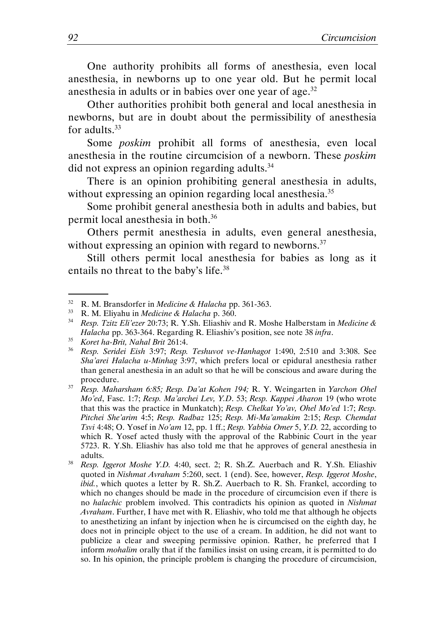One authority prohibits all forms of anesthesia, even local anesthesia, in newborns up to one year old. But he permit local anesthesia in adults or in babies over one year of age. $32$ 

Other authorities prohibit both general and local anesthesia in newborns, but are in doubt about the permissibility of anesthesia for adults.<sup>33</sup>

Some poskim prohibit all forms of anesthesia, even local anesthesia in the routine circumcision of a newborn. These poskim did not express an opinion regarding adults.<sup>34</sup>

There is an opinion prohibiting general anesthesia in adults, without expressing an opinion regarding local anesthesia.<sup>35</sup>

Some prohibit general anesthesia both in adults and babies, but permit local anesthesia in both.<sup>36</sup>

Others permit anesthesia in adults, even general anesthesia, without expressing an opinion with regard to newborns.<sup>37</sup>

Still others permit local anesthesia for babies as long as it entails no threat to the baby's life.<sup>38</sup>

.

<sup>38</sup> Resp. Iggerot Moshe Y.D. 4:40, sect. 2; R. Sh.Z. Auerbach and R. Y.Sh. Eliashiv quoted in Nishmat Avraham 5:260, sect. 1 (end). See, however, Resp. Iggerot Moshe,  $ibid$ , which quotes a letter by R. Sh.Z. Auerbach to R. Sh. Frankel, according to which no changes should be made in the procedure of circumcision even if there is no halachic problem involved. This contradicts his opinion as quoted in Nishmat Avraham. Further, I have met with R. Eliashiv, who told me that although he objects to anesthetizing an infant by injection when he is circumcised on the eighth day, he does not in principle object to the use of a cream. In addition, he did not want to publicize a clear and sweeping permissive opinion. Rather, he preferred that I inform *mohalim* orally that if the families insist on using cream, it is permitted to do so. In his opinion, the principle problem is changing the procedure of circumcision,

<sup>32</sup> R. M. Bransdorfer in Medicine & Halacha pp. 361-363.

<sup>&</sup>lt;sup>33</sup> R. M. Eliyahu in *Medicine & Halacha* p. 360.

<sup>&</sup>lt;sup>34</sup> Resp. Tzitz Eli'ezer 20:73; R. Y.Sh. Eliashiv and R. Moshe Halberstam in Medicine & Halacha pp. 363-364. Regarding R. Eliashiv's position, see note 38 infra.

 $35$  Koret ha-Brit, Nahal Brit 261:4.

<sup>36</sup> Resp. Seridei Eish 3:97; Resp. Teshuvot ve-Hanhagot 1:490, 2:510 and 3:308. See Sha'arei Halacha u-Minhag 3:97, which prefers local or epidural anesthesia rather than general anesthesia in an adult so that he will be conscious and aware during the procedure.

<sup>37</sup> Resp. Maharsham 6:85; Resp. Da'at Kohen 194; R. Y. Weingarten in Yarchon Ohel Mo'ed, Fasc. 1:7; Resp. Ma'archei Lev, Y.D. 53; Resp. Kappei Aharon 19 (who wrote that this was the practice in Munkatch); Resp. Chelkat Yo'av, Ohel Mo'ed 1:7; Resp. Pitchei She'arim 4:5; Resp. Radbaz 125; Resp. Mi-Ma'amakim 2:15; Resp. Chemdat Tsvi 4:48; O. Yosef in  $No'$ am 12, pp. 1 ff.; Resp. Yabbia Omer 5, Y.D. 22, according to which R. Yosef acted thusly with the approval of the Rabbinic Court in the year 5723. R. Y.Sh. Eliashiv has also told me that he approves of general anesthesia in adults.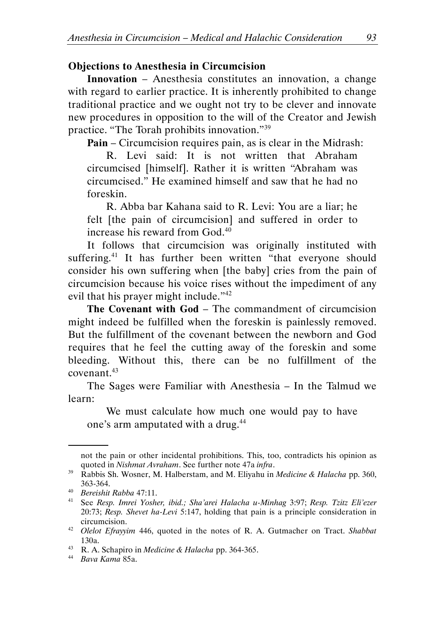### Objections to Anesthesia in Circumcision

Innovation – Anesthesia constitutes an innovation, a change with regard to earlier practice. It is inherently prohibited to change traditional practice and we ought not try to be clever and innovate new procedures in opposition to the will of the Creator and Jewish practice. "The Torah prohibits innovation."<sup>39</sup>

Pain – Circumcision requires pain, as is clear in the Midrash:

R. Levi said: It is not written that Abraham circumcised [himself]. Rather it is written "Abraham was circumcised." He examined himself and saw that he had no foreskin.

R. Abba bar Kahana said to R. Levi: You are a liar; he felt [the pain of circumcision] and suffered in order to increase his reward from God.<sup>40</sup>

It follows that circumcision was originally instituted with suffering.<sup>41</sup> It has further been written "that everyone should consider his own suffering when [the baby] cries from the pain of circumcision because his voice rises without the impediment of any evil that his prayer might include."<sup>42</sup>

The Covenant with God – The commandment of circumcision might indeed be fulfilled when the foreskin is painlessly removed. But the fulfillment of the covenant between the newborn and God requires that he feel the cutting away of the foreskin and some bleeding. Without this, there can be no fulfillment of the  $covenant$ <sup> $43$ </sup>

The Sages were Familiar with Anesthesia – In the Talmud we learn:

We must calculate how much one would pay to have one's arm amputated with a drug.<sup>44</sup>

not the pain or other incidental prohibitions. This, too, contradicts his opinion as quoted in Nishmat Avraham. See further note 47a infra.

<sup>&</sup>lt;sup>39</sup> Rabbis Sh. Wosner, M. Halberstam, and M. Eliyahu in *Medicine & Halacha* pp. 360, 363-364.

<sup>40</sup> Bereishit Rabba 47:11.

<sup>41</sup> See Resp. Imrei Yosher, ibid.; Sha'arei Halacha u-Minhag 3:97; Resp. Tzitz Eli'ezer 20:73; Resp. Shevet ha-Levi 5:147, holding that pain is a principle consideration in circumcision.

<sup>&</sup>lt;sup>42</sup> Olelot Efrayyim 446, quoted in the notes of R. A. Gutmacher on Tract. Shabbat 130a.

<sup>43</sup> R. A. Schapiro in Medicine & Halacha pp. 364-365.

<sup>44</sup> Bava Kama 85a.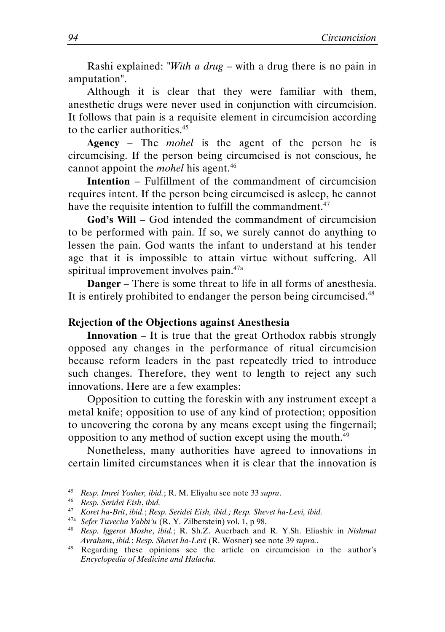Rashi explained: "With a drug – with a drug there is no pain in amputation".

Although it is clear that they were familiar with them, anesthetic drugs were never used in conjunction with circumcision. It follows that pain is a requisite element in circumcision according to the earlier authorities.<sup>45</sup>

Agency – The mohel is the agent of the person he is circumcising. If the person being circumcised is not conscious, he cannot appoint the *mohel* his agent.<sup>46</sup>

Intention – Fulfillment of the commandment of circumcision requires intent. If the person being circumcised is asleep, he cannot have the requisite intention to fulfill the commandment. $47$ 

God's Will – God intended the commandment of circumcision to be performed with pain. If so, we surely cannot do anything to lessen the pain. God wants the infant to understand at his tender age that it is impossible to attain virtue without suffering. All spiritual improvement involves pain.<sup>47a</sup>

Danger – There is some threat to life in all forms of anesthesia. It is entirely prohibited to endanger the person being circumcised.<sup>48</sup>

#### Rejection of the Objections against Anesthesia

Innovation – It is true that the great Orthodox rabbis strongly opposed any changes in the performance of ritual circumcision because reform leaders in the past repeatedly tried to introduce such changes. Therefore, they went to length to reject any such innovations. Here are a few examples:

Opposition to cutting the foreskin with any instrument except a metal knife; opposition to use of any kind of protection; opposition to uncovering the corona by any means except using the fingernail; opposition to any method of suction except using the mouth.<sup>49</sup>

Nonetheless, many authorities have agreed to innovations in certain limited circumstances when it is clear that the innovation is

<sup>45</sup> Resp. Imrei Yosher, ibid.; R. M. Eliyahu see note 33 supra.

<sup>46</sup> Resp. Seridei Eish, ibid.

<sup>47</sup> Koret ha-Brit, ibid.; Resp. Seridei Eish, ibid.; Resp. Shevet ha-Levi, ibid.

<sup>&</sup>lt;sup>47a</sup> Sefer Tuvecha Yabbi'u (R. Y. Zilberstein) vol. 1, p 98.

<sup>&</sup>lt;sup>48</sup> Resp. Iggerot Moshe, ibid.; R. Sh.Z. Auerbach and R. Y.Sh. Eliashiv in Nishmat Avraham, ibid.; Resp. Shevet ha-Levi (R. Wosner) see note 39 supra..

<sup>&</sup>lt;sup>49</sup> Regarding these opinions see the article on circumcision in the author's Encyclopedia of Medicine and Halacha.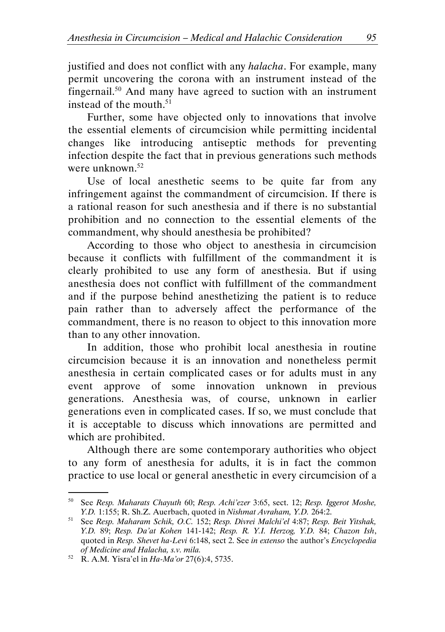justified and does not conflict with any halacha. For example, many permit uncovering the corona with an instrument instead of the fingernail.<sup>50</sup> And many have agreed to suction with an instrument instead of the mouth. $51$ 

Further, some have objected only to innovations that involve the essential elements of circumcision while permitting incidental changes like introducing antiseptic methods for preventing infection despite the fact that in previous generations such methods were unknown.<sup>52</sup>

Use of local anesthetic seems to be quite far from any infringement against the commandment of circumcision. If there is a rational reason for such anesthesia and if there is no substantial prohibition and no connection to the essential elements of the commandment, why should anesthesia be prohibited?

According to those who object to anesthesia in circumcision because it conflicts with fulfillment of the commandment it is clearly prohibited to use any form of anesthesia. But if using anesthesia does not conflict with fulfillment of the commandment and if the purpose behind anesthetizing the patient is to reduce pain rather than to adversely affect the performance of the commandment, there is no reason to object to this innovation more than to any other innovation.

In addition, those who prohibit local anesthesia in routine circumcision because it is an innovation and nonetheless permit anesthesia in certain complicated cases or for adults must in any event approve of some innovation unknown in previous generations. Anesthesia was, of course, unknown in earlier generations even in complicated cases. If so, we must conclude that it is acceptable to discuss which innovations are permitted and which are prohibited.

Although there are some contemporary authorities who object to any form of anesthesia for adults, it is in fact the common practice to use local or general anesthetic in every circumcision of a

<sup>50</sup> See Resp. Maharats Chayuth 60; Resp. Achi'ezer 3:65, sect. 12; Resp. Iggerot Moshe, Y.D. 1:155; R. Sh.Z. Auerbach, quoted in Nishmat Avraham, Y.D. 264:2.

<sup>51</sup> See Resp. Maharam Schik, O.C. 152; Resp. Divrei Malchi'el 4:87; Resp. Beit Yitshak, Y.D. 89; Resp. Da'at Kohen 141-142; Resp. R. Y.I. Herzog, Y.D. 84; Chazon Ish, quoted in Resp. Shevet ha-Levi 6:148, sect 2. See in extenso the author's Encyclopedia of Medicine and Halacha, s.v. mila.

<sup>52</sup> R. A.M. Yisra'el in Ha-Ma'or 27(6):4, 5735.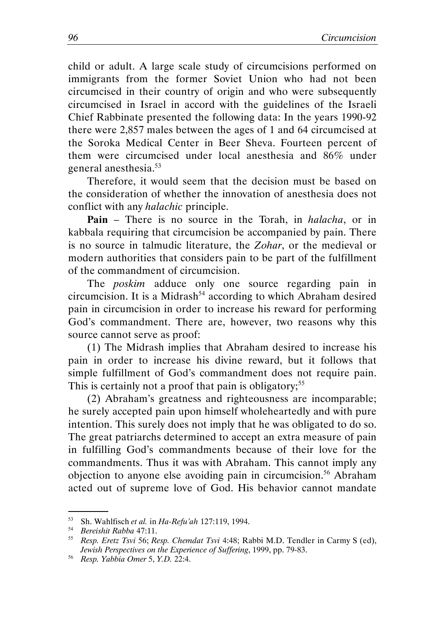child or adult. A large scale study of circumcisions performed on immigrants from the former Soviet Union who had not been circumcised in their country of origin and who were subsequently circumcised in Israel in accord with the guidelines of the Israeli Chief Rabbinate presented the following data: In the years 1990-92 there were 2,857 males between the ages of 1 and 64 circumcised at the Soroka Medical Center in Beer Sheva. Fourteen percent of them were circumcised under local anesthesia and 86% under general anesthesia.<sup>53</sup>

Therefore, it would seem that the decision must be based on the consideration of whether the innovation of anesthesia does not conflict with any halachic principle.

**Pain** – There is no source in the Torah, in *halacha*, or in kabbala requiring that circumcision be accompanied by pain. There is no source in talmudic literature, the Zohar, or the medieval or modern authorities that considers pain to be part of the fulfillment of the commandment of circumcision.

The *poskim* adduce only one source regarding pain in circumcision. It is a Midrash<sup>54</sup> according to which Abraham desired pain in circumcision in order to increase his reward for performing God's commandment. There are, however, two reasons why this source cannot serve as proof:

(1) The Midrash implies that Abraham desired to increase his pain in order to increase his divine reward, but it follows that simple fulfillment of God's commandment does not require pain. This is certainly not a proof that pain is obligatory;<sup>55</sup>

(2) Abraham's greatness and righteousness are incomparable; he surely accepted pain upon himself wholeheartedly and with pure intention. This surely does not imply that he was obligated to do so. The great patriarchs determined to accept an extra measure of pain in fulfilling God's commandments because of their love for the commandments. Thus it was with Abraham. This cannot imply any objection to anyone else avoiding pain in circumcision.<sup>56</sup> Abraham acted out of supreme love of God. His behavior cannot mandate

<sup>53</sup> Sh. Wahlfisch et al. in Ha-Refu'ah 127:119, 1994.

<sup>54</sup> Bereishit Rabba 47:11.

<sup>55</sup> Resp. Eretz Tsvi 56; Resp. Chemdat Tsvi 4:48; Rabbi M.D. Tendler in Carmy S (ed), Jewish Perspectives on the Experience of Suffering, 1999, pp. 79-83.

<sup>56</sup> Resp. Yabbia Omer 5, Y.D. 22:4.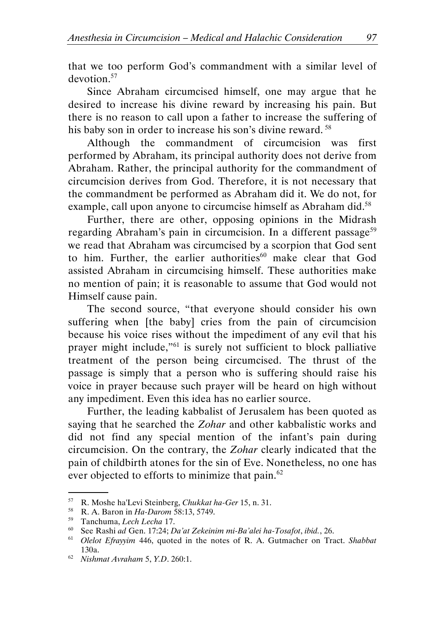that we too perform God's commandment with a similar level of devotion.<sup>57</sup>

Since Abraham circumcised himself, one may argue that he desired to increase his divine reward by increasing his pain. But there is no reason to call upon a father to increase the suffering of his baby son in order to increase his son's divine reward.<sup>58</sup>

Although the commandment of circumcision was first performed by Abraham, its principal authority does not derive from Abraham. Rather, the principal authority for the commandment of circumcision derives from God. Therefore, it is not necessary that the commandment be performed as Abraham did it. We do not, for example, call upon anyone to circumcise himself as Abraham did.<sup>58</sup>

Further, there are other, opposing opinions in the Midrash regarding Abraham's pain in circumcision. In a different passage<sup>59</sup> we read that Abraham was circumcised by a scorpion that God sent to him. Further, the earlier authorities $60$  make clear that God assisted Abraham in circumcising himself. These authorities make no mention of pain; it is reasonable to assume that God would not Himself cause pain.

The second source, "that everyone should consider his own suffering when [the baby] cries from the pain of circumcision because his voice rises without the impediment of any evil that his prayer might include,"<sup>61</sup> is surely not sufficient to block palliative treatment of the person being circumcised. The thrust of the passage is simply that a person who is suffering should raise his voice in prayer because such prayer will be heard on high without any impediment. Even this idea has no earlier source.

Further, the leading kabbalist of Jerusalem has been quoted as saying that he searched the Zohar and other kabbalistic works and did not find any special mention of the infant's pain during circumcision. On the contrary, the Zohar clearly indicated that the pain of childbirth atones for the sin of Eve. Nonetheless, no one has ever objected to efforts to minimize that pain.<sup>62</sup>

<sup>57</sup> R. Moshe ha'Levi Steinberg, Chukkat ha-Ger 15, n. 31.

<sup>58</sup> R. A. Baron in Ha-Darom 58:13, 5749.

<sup>59</sup> Tanchuma, Lech Lecha 17.

<sup>&</sup>lt;sup>60</sup> See Rashi ad Gen. 17:24; Da'at Zekeinim mi-Ba'alei ha-Tosafot, ibid., 26.<br><sup>61</sup> Olelot Efrayyim 446, quoted in the notes of R. A. Gutmacher on Tra

Olelot Efrayyim 446, quoted in the notes of R. A. Gutmacher on Tract. Shabbat 130a.

 $62$  Nishmat Avraham 5, Y.D. 260:1.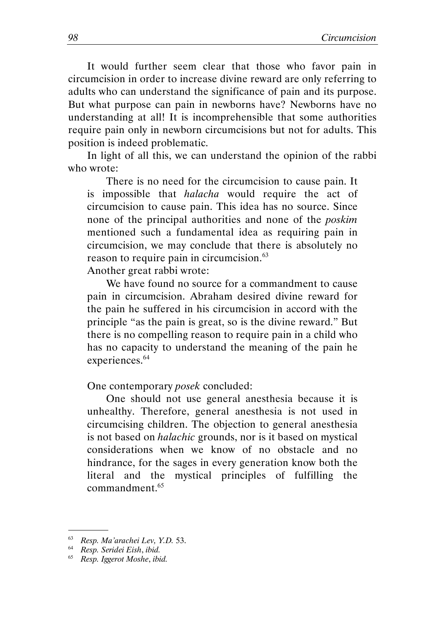It would further seem clear that those who favor pain in circumcision in order to increase divine reward are only referring to adults who can understand the significance of pain and its purpose. But what purpose can pain in newborns have? Newborns have no understanding at all! It is incomprehensible that some authorities require pain only in newborn circumcisions but not for adults. This position is indeed problematic.

In light of all this, we can understand the opinion of the rabbi who wrote:

There is no need for the circumcision to cause pain. It is impossible that halacha would require the act of circumcision to cause pain. This idea has no source. Since none of the principal authorities and none of the poskim mentioned such a fundamental idea as requiring pain in circumcision, we may conclude that there is absolutely no reason to require pain in circumcision.<sup>63</sup>

Another great rabbi wrote:

We have found no source for a commandment to cause pain in circumcision. Abraham desired divine reward for the pain he suffered in his circumcision in accord with the principle "as the pain is great, so is the divine reward." But there is no compelling reason to require pain in a child who has no capacity to understand the meaning of the pain he experiences.<sup>64</sup>

#### One contemporary posek concluded:

One should not use general anesthesia because it is unhealthy. Therefore, general anesthesia is not used in circumcising children. The objection to general anesthesia is not based on halachic grounds, nor is it based on mystical considerations when we know of no obstacle and no hindrance, for the sages in every generation know both the literal and the mystical principles of fulfilling the commandment.<sup>65</sup>

<sup>63</sup> Resp. Ma'arachei Lev, Y.D. 53.

<sup>64</sup> Resp. Seridei Eish, ibid.

<sup>65</sup> Resp. Iggerot Moshe, ibid.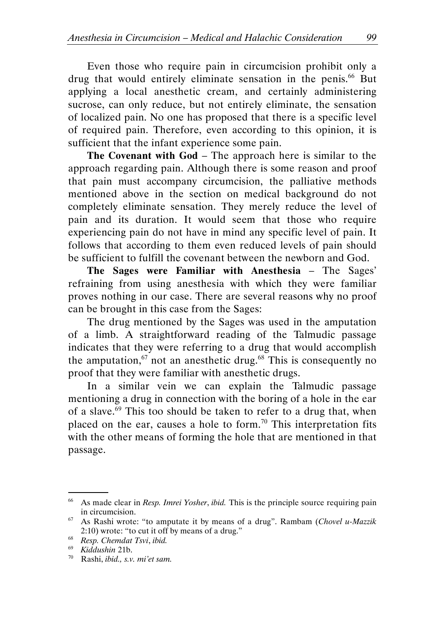Even those who require pain in circumcision prohibit only a drug that would entirely eliminate sensation in the penis.<sup>66</sup> But applying a local anesthetic cream, and certainly administering sucrose, can only reduce, but not entirely eliminate, the sensation of localized pain. No one has proposed that there is a specific level of required pain. Therefore, even according to this opinion, it is sufficient that the infant experience some pain.

The Covenant with God – The approach here is similar to the approach regarding pain. Although there is some reason and proof that pain must accompany circumcision, the palliative methods mentioned above in the section on medical background do not completely eliminate sensation. They merely reduce the level of pain and its duration. It would seem that those who require experiencing pain do not have in mind any specific level of pain. It follows that according to them even reduced levels of pain should be sufficient to fulfill the covenant between the newborn and God.

The Sages were Familiar with Anesthesia – The Sages' refraining from using anesthesia with which they were familiar proves nothing in our case. There are several reasons why no proof can be brought in this case from the Sages:

The drug mentioned by the Sages was used in the amputation of a limb. A straightforward reading of the Talmudic passage indicates that they were referring to a drug that would accomplish the amputation,  $67$  not an anesthetic drug.<sup>68</sup> This is consequently no proof that they were familiar with anesthetic drugs.

In a similar vein we can explain the Talmudic passage mentioning a drug in connection with the boring of a hole in the ear of a slave.<sup>69</sup> This too should be taken to refer to a drug that, when placed on the ear, causes a hole to form.<sup>70</sup> This interpretation fits with the other means of forming the hole that are mentioned in that passage.

 $66$  As made clear in Resp. Imrei Yosher, ibid. This is the principle source requiring pain in circumcision.

 $67$  As Rashi wrote: "to amputate it by means of a drug". Rambam (Chovel u-Mazzik 2:10) wrote: "to cut it off by means of a drug."

<sup>&</sup>lt;sup>68</sup> Resp. Chemdat Tsvi, ibid.

<sup>69</sup> Kiddushin 21b.

 $70$  Rashi, ibid., s.v. mi'et sam.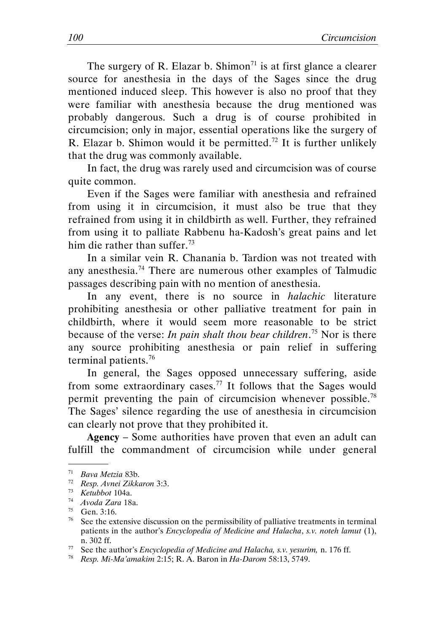The surgery of R. Elazar b. Shimon<sup> $71$ </sup> is at first glance a clearer source for anesthesia in the days of the Sages since the drug mentioned induced sleep. This however is also no proof that they were familiar with anesthesia because the drug mentioned was probably dangerous. Such a drug is of course prohibited in circumcision; only in major, essential operations like the surgery of R. Elazar b. Shimon would it be permitted.<sup>72</sup> It is further unlikely that the drug was commonly available.

In fact, the drug was rarely used and circumcision was of course quite common.

Even if the Sages were familiar with anesthesia and refrained from using it in circumcision, it must also be true that they refrained from using it in childbirth as well. Further, they refrained from using it to palliate Rabbenu ha-Kadosh's great pains and let him die rather than suffer.<sup>73</sup>

In a similar vein R. Chanania b. Tardion was not treated with any anesthesia.<sup>74</sup> There are numerous other examples of Talmudic passages describing pain with no mention of anesthesia.

In any event, there is no source in *halachic* literature prohibiting anesthesia or other palliative treatment for pain in childbirth, where it would seem more reasonable to be strict because of the verse: In pain shalt thou bear children.<sup>75</sup> Nor is there any source prohibiting anesthesia or pain relief in suffering terminal patients.<sup>76</sup>

In general, the Sages opposed unnecessary suffering, aside from some extraordinary cases.<sup>77</sup> It follows that the Sages would permit preventing the pain of circumcision whenever possible.<sup>78</sup> The Sages' silence regarding the use of anesthesia in circumcision can clearly not prove that they prohibited it.

Agency – Some authorities have proven that even an adult can fulfill the commandment of circumcision while under general

<sup>71</sup> Bava Metzia 83b.

<sup>72</sup> Resp. Avnei Zikkaron 3:3.

 $73$  Ketubbot 104a.

<sup>74</sup> Avoda Zara 18a.

 $^{75}$  Gen. 3:16.<br> $^{76}$  See the exi

<sup>76</sup> See the extensive discussion on the permissibility of palliative treatments in terminal patients in the author's Encyclopedia of Medicine and Halacha, s.v. noteh lamut (1), n. 302 ff.

 $77$  See the author's Encyclopedia of Medicine and Halacha, s.v. yesurim, n. 176 ff.

<sup>78</sup> Resp. Mi-Ma'amakim 2:15; R. A. Baron in Ha-Darom 58:13, 5749.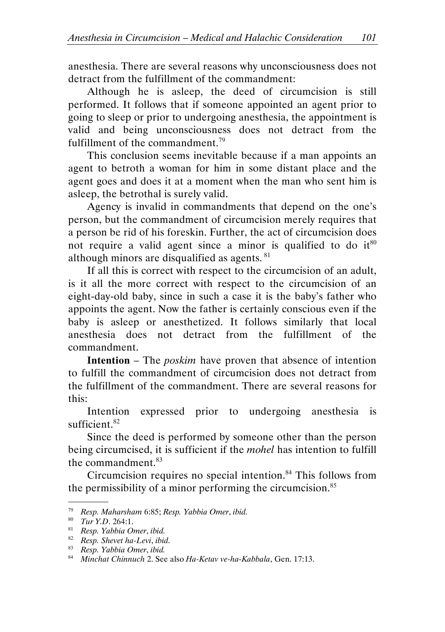anesthesia. There are several reasons why unconsciousness does not detract from the fulfillment of the commandment:

Although he is asleep, the deed of circumcision is still performed. It follows that if someone appointed an agent prior to going to sleep or prior to undergoing anesthesia, the appointment is valid and being unconsciousness does not detract from the fulfillment of the commandment.<sup>79</sup>

This conclusion seems inevitable because if a man appoints an agent to betroth a woman for him in some distant place and the agent goes and does it at a moment when the man who sent him is asleep, the betrothal is surely valid.

Agency is invalid in commandments that depend on the one's person, but the commandment of circumcision merely requires that a person be rid of his foreskin. Further, the act of circumcision does not require a valid agent since a minor is qualified to do it<sup>80</sup> although minors are disqualified as agents.  $81$ 

If all this is correct with respect to the circumcision of an adult, is it all the more correct with respect to the circumcision of an eight-day-old baby, since in such a case it is the baby's father who appoints the agent. Now the father is certainly conscious even if the baby is asleep or anesthetized. It follows similarly that local anesthesia does not detract from the fulfillment of the commandment.

Intention – The poskim have proven that absence of intention to fulfill the commandment of circumcision does not detract from the fulfillment of the commandment. There are several reasons for this:

Intention expressed prior to undergoing anesthesia is sufficient.<sup>82</sup>

Since the deed is performed by someone other than the person being circumcised, it is sufficient if the *mohel* has intention to fulfill the commandment.<sup>83</sup>

Circumcision requires no special intention. $84$  This follows from the permissibility of a minor performing the circumcision.<sup>85</sup> .

<sup>79</sup> Resp. Maharsham 6:85; Resp. Yabbia Omer, ibid.

 $80$  Tur Y.D. 264:1.

<sup>81</sup> Resp. Yabbia Omer, ibid.

 $82$  Resp. Shevet ha-Levi, ibid.

<sup>83</sup> Resp. Yabbia Omer, ibid.

 $84$  Minchat Chinnuch 2. See also Ha-Ketav ve-ha-Kabbala, Gen. 17:13.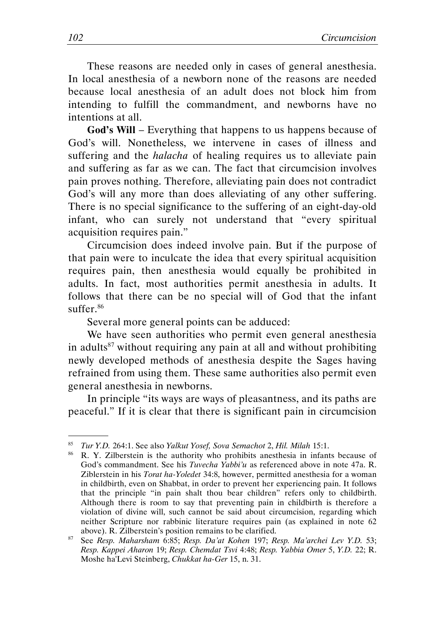These reasons are needed only in cases of general anesthesia. In local anesthesia of a newborn none of the reasons are needed because local anesthesia of an adult does not block him from intending to fulfill the commandment, and newborns have no intentions at all.

God's Will – Everything that happens to us happens because of God's will. Nonetheless, we intervene in cases of illness and suffering and the *halacha* of healing requires us to alleviate pain and suffering as far as we can. The fact that circumcision involves pain proves nothing. Therefore, alleviating pain does not contradict God's will any more than does alleviating of any other suffering. There is no special significance to the suffering of an eight-day-old infant, who can surely not understand that "every spiritual acquisition requires pain."

Circumcision does indeed involve pain. But if the purpose of that pain were to inculcate the idea that every spiritual acquisition requires pain, then anesthesia would equally be prohibited in adults. In fact, most authorities permit anesthesia in adults. It follows that there can be no special will of God that the infant suffer.<sup>86</sup>

Several more general points can be adduced:

We have seen authorities who permit even general anesthesia in adults<sup>87</sup> without requiring any pain at all and without prohibiting newly developed methods of anesthesia despite the Sages having refrained from using them. These same authorities also permit even general anesthesia in newborns.

In principle "its ways are ways of pleasantness, and its paths are peaceful." If it is clear that there is significant pain in circumcision

<sup>&</sup>lt;sup>85</sup> Tur Y.D. 264:1. See also Yalkut Yosef, Sova Semachot 2, Hil. Milah 15:1.<br><sup>86</sup> P. Y. Zilberstein is the authority who probibits anesthesia in infant

<sup>86</sup> R. Y. Zilberstein is the authority who prohibits anesthesia in infants because of God's commandment. See his Tuvecha Yabbi'u as referenced above in note 47a. R. Ziblerstein in his Torat ha-Yoledet 34:8, however, permitted anesthesia for a woman in childbirth, even on Shabbat, in order to prevent her experiencing pain. It follows that the principle "in pain shalt thou bear children" refers only to childbirth. Although there is room to say that preventing pain in childbirth is therefore a violation of divine will, such cannot be said about circumcision, regarding which neither Scripture nor rabbinic literature requires pain (as explained in note 62 above). R. Zilberstein's position remains to be clarified.

<sup>&</sup>lt;sup>87</sup> See Resp. Maharsham 6:85; Resp. Da'at Kohen 197; Resp. Ma'archei Lev Y.D. 53; Resp. Kappei Aharon 19; Resp. Chemdat Tsvi 4:48; Resp. Yabbia Omer 5, Y.D. 22; R. Moshe ha'Levi Steinberg, Chukkat ha-Ger 15, n. 31.